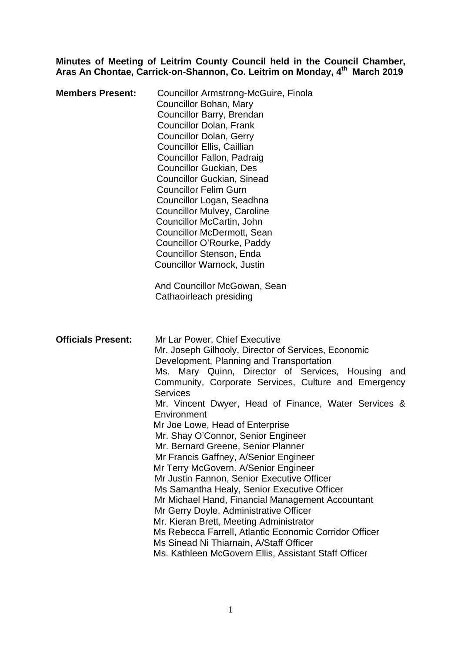**Minutes of Meeting of Leitrim County Council held in the Council Chamber,**  Aras An Chontae, Carrick-on-Shannon, Co. Leitrim on Monday, 4<sup>th</sup> March 2019

| <b>Members Present:</b>   | Councillor Armstrong-McGuire, Finola<br>Councillor Bohan, Mary<br>Councillor Barry, Brendan<br><b>Councillor Dolan, Frank</b><br><b>Councillor Dolan, Gerry</b><br>Councillor Ellis, Caillian<br>Councillor Fallon, Padraig<br><b>Councillor Guckian, Des</b><br><b>Councillor Guckian, Sinead</b><br><b>Councillor Felim Gurn</b><br>Councillor Logan, Seadhna<br><b>Councillor Mulvey, Caroline</b><br>Councillor McCartin, John<br>Councillor McDermott, Sean<br>Councillor O'Rourke, Paddy<br>Councillor Stenson, Enda<br>Councillor Warnock, Justin<br>And Councillor McGowan, Sean<br>Cathaoirleach presiding                                                                                                                                                                                                                                                                                                                        |
|---------------------------|--------------------------------------------------------------------------------------------------------------------------------------------------------------------------------------------------------------------------------------------------------------------------------------------------------------------------------------------------------------------------------------------------------------------------------------------------------------------------------------------------------------------------------------------------------------------------------------------------------------------------------------------------------------------------------------------------------------------------------------------------------------------------------------------------------------------------------------------------------------------------------------------------------------------------------------------|
| <b>Officials Present:</b> | Mr Lar Power, Chief Executive<br>Mr. Joseph Gilhooly, Director of Services, Economic<br>Development, Planning and Transportation<br>Ms. Mary Quinn, Director of Services, Housing and<br>Community, Corporate Services, Culture and Emergency<br><b>Services</b><br>Mr. Vincent Dwyer, Head of Finance, Water Services &<br>Environment<br>Mr Joe Lowe, Head of Enterprise<br>Mr. Shay O'Connor, Senior Engineer<br>Mr. Bernard Greene, Senior Planner<br>Mr Francis Gaffney, A/Senior Engineer<br>Mr Terry McGovern. A/Senior Engineer<br>Mr Justin Fannon, Senior Executive Officer<br>Ms Samantha Healy, Senior Executive Officer<br>Mr Michael Hand, Financial Management Accountant<br>Mr Gerry Doyle, Administrative Officer<br>Mr. Kieran Brett, Meeting Administrator<br>Ms Rebecca Farrell, Atlantic Economic Corridor Officer<br>Ms Sinead Ni Thiarnain, A/Staff Officer<br>Ms. Kathleen McGovern Ellis, Assistant Staff Officer |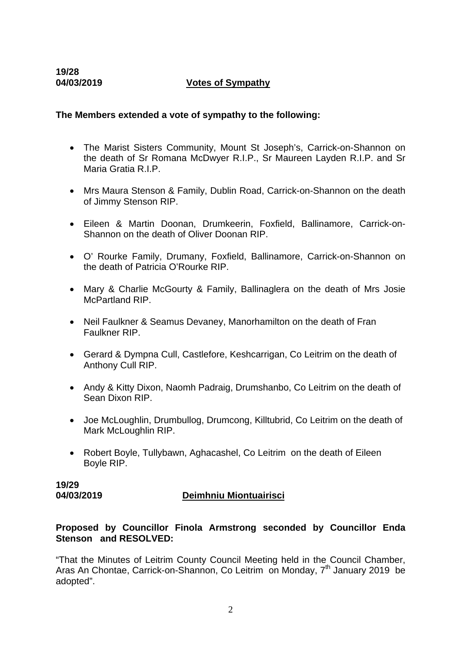# **04/03/2019 Votes of Sympathy**

# **The Members extended a vote of sympathy to the following:**

- The Marist Sisters Community, Mount St Joseph's, Carrick-on-Shannon on the death of Sr Romana McDwyer R.I.P., Sr Maureen Layden R.I.P. and Sr Maria Gratia R.I.P.
- Mrs Maura Stenson & Family, Dublin Road, Carrick-on-Shannon on the death of Jimmy Stenson RIP.
- Eileen & Martin Doonan, Drumkeerin, Foxfield, Ballinamore, Carrick-on-Shannon on the death of Oliver Doonan RIP.
- O' Rourke Family, Drumany, Foxfield, Ballinamore, Carrick-on-Shannon on the death of Patricia O'Rourke RIP.
- Mary & Charlie McGourty & Family, Ballinaglera on the death of Mrs Josie McPartland RIP.
- Neil Faulkner & Seamus Devaney, Manorhamilton on the death of Fran Faulkner RIP.
- Gerard & Dympna Cull, Castlefore, Keshcarrigan, Co Leitrim on the death of Anthony Cull RIP.
- Andy & Kitty Dixon, Naomh Padraig, Drumshanbo, Co Leitrim on the death of Sean Dixon RIP.
- Joe McLoughlin, Drumbullog, Drumcong, Killtubrid, Co Leitrim on the death of Mark McLoughlin RIP.
- Robert Boyle, Tullybawn, Aghacashel, Co Leitrim on the death of Eileen Boyle RIP.

**19/29** 

# **04/03/2019 Deimhniu Miontuairisci**

# **Proposed by Councillor Finola Armstrong seconded by Councillor Enda Stenson and RESOLVED:**

"That the Minutes of Leitrim County Council Meeting held in the Council Chamber, Aras An Chontae, Carrick-on-Shannon, Co Leitrim on Monday, 7<sup>th</sup> January 2019 be adopted".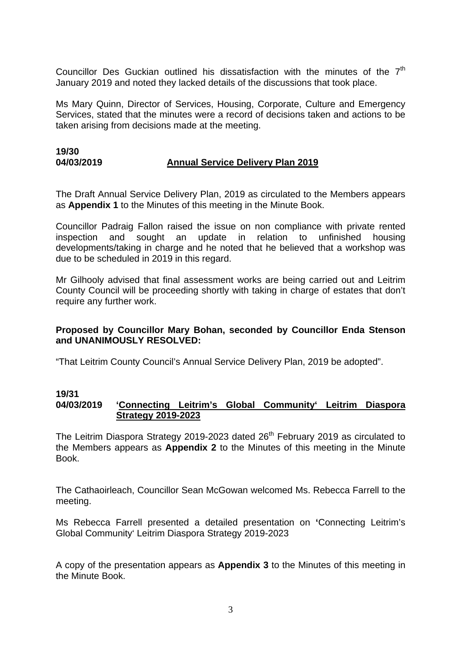Councillor Des Guckian outlined his dissatisfaction with the minutes of the  $7<sup>th</sup>$ January 2019 and noted they lacked details of the discussions that took place.

Ms Mary Quinn, Director of Services, Housing, Corporate, Culture and Emergency Services, stated that the minutes were a record of decisions taken and actions to be taken arising from decisions made at the meeting.

# **19/30 04/03/2019 Annual Service Delivery Plan 2019**

The Draft Annual Service Delivery Plan, 2019 as circulated to the Members appears as **Appendix 1** to the Minutes of this meeting in the Minute Book.

Councillor Padraig Fallon raised the issue on non compliance with private rented inspection and sought an update in relation to unfinished housing developments/taking in charge and he noted that he believed that a workshop was due to be scheduled in 2019 in this regard.

Mr Gilhooly advised that final assessment works are being carried out and Leitrim County Council will be proceeding shortly with taking in charge of estates that don't require any further work.

# **Proposed by Councillor Mary Bohan, seconded by Councillor Enda Stenson and UNANIMOUSLY RESOLVED:**

"That Leitrim County Council's Annual Service Delivery Plan, 2019 be adopted".

# **19/31**

# **04/03/2019 'Connecting Leitrim's Global Community' Leitrim Diaspora Strategy 2019-2023**

The Leitrim Diaspora Strategy 2019-2023 dated  $26<sup>th</sup>$  February 2019 as circulated to the Members appears as **Appendix 2** to the Minutes of this meeting in the Minute Book.

The Cathaoirleach, Councillor Sean McGowan welcomed Ms. Rebecca Farrell to the meeting.

Ms Rebecca Farrell presented a detailed presentation on **'**Connecting Leitrim's Global Community' Leitrim Diaspora Strategy 2019-2023

A copy of the presentation appears as **Appendix 3** to the Minutes of this meeting in the Minute Book.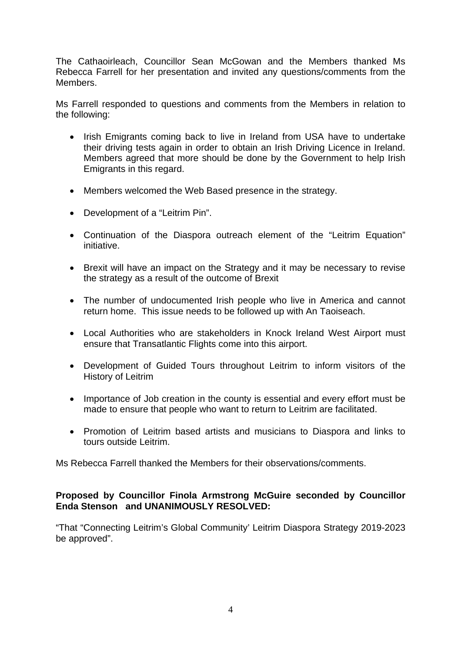The Cathaoirleach, Councillor Sean McGowan and the Members thanked Ms Rebecca Farrell for her presentation and invited any questions/comments from the Members.

Ms Farrell responded to questions and comments from the Members in relation to the following:

- Irish Emigrants coming back to live in Ireland from USA have to undertake their driving tests again in order to obtain an Irish Driving Licence in Ireland. Members agreed that more should be done by the Government to help Irish Emigrants in this regard.
- Members welcomed the Web Based presence in the strategy.
- Development of a "Leitrim Pin".
- Continuation of the Diaspora outreach element of the "Leitrim Equation" initiative.
- Brexit will have an impact on the Strategy and it may be necessary to revise the strategy as a result of the outcome of Brexit
- The number of undocumented Irish people who live in America and cannot return home. This issue needs to be followed up with An Taoiseach.
- Local Authorities who are stakeholders in Knock Ireland West Airport must ensure that Transatlantic Flights come into this airport.
- Development of Guided Tours throughout Leitrim to inform visitors of the History of Leitrim
- Importance of Job creation in the county is essential and every effort must be made to ensure that people who want to return to Leitrim are facilitated.
- Promotion of Leitrim based artists and musicians to Diaspora and links to tours outside Leitrim.

Ms Rebecca Farrell thanked the Members for their observations/comments.

# **Proposed by Councillor Finola Armstrong McGuire seconded by Councillor Enda Stenson and UNANIMOUSLY RESOLVED:**

"That "Connecting Leitrim's Global Community' Leitrim Diaspora Strategy 2019-2023 be approved".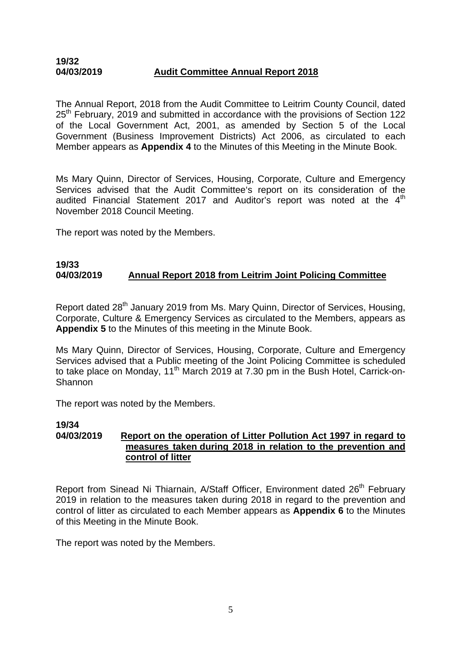# **19/32 04/03/2019 Audit Committee Annual Report 2018**

The Annual Report, 2018 from the Audit Committee to Leitrim County Council, dated 25<sup>th</sup> February, 2019 and submitted in accordance with the provisions of Section 122 of the Local Government Act, 2001, as amended by Section 5 of the Local Government (Business Improvement Districts) Act 2006, as circulated to each Member appears as **Appendix 4** to the Minutes of this Meeting in the Minute Book.

Ms Mary Quinn, Director of Services, Housing, Corporate, Culture and Emergency Services advised that the Audit Committee's report on its consideration of the audited Financial Statement 2017 and Auditor's report was noted at the  $4<sup>th</sup>$ November 2018 Council Meeting.

The report was noted by the Members.

### **19/33 04/03/2019 Annual Report 2018 from Leitrim Joint Policing Committee**

Report dated 28<sup>th</sup> January 2019 from Ms. Mary Quinn, Director of Services, Housing, Corporate, Culture & Emergency Services as circulated to the Members, appears as **Appendix 5** to the Minutes of this meeting in the Minute Book.

Ms Mary Quinn, Director of Services, Housing, Corporate, Culture and Emergency Services advised that a Public meeting of the Joint Policing Committee is scheduled to take place on Monday, 11<sup>th</sup> March 2019 at 7.30 pm in the Bush Hotel, Carrick-on-**Shannon** 

The report was noted by the Members.

# **19/34 04/03/2019 Report on the operation of Litter Pollution Act 1997 in regard to measures taken during 2018 in relation to the prevention and control of litter**

Report from Sinead Ni Thiarnain, A/Staff Officer, Environment dated 26<sup>th</sup> February 2019 in relation to the measures taken during 2018 in regard to the prevention and control of litter as circulated to each Member appears as **Appendix 6** to the Minutes of this Meeting in the Minute Book.

The report was noted by the Members.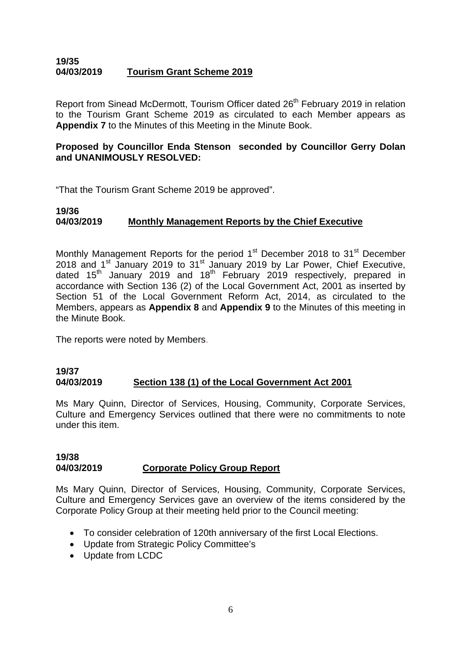# **19/35 04/03/2019 Tourism Grant Scheme 2019**

Report from Sinead McDermott, Tourism Officer dated 26<sup>th</sup> February 2019 in relation to the Tourism Grant Scheme 2019 as circulated to each Member appears as **Appendix 7** to the Minutes of this Meeting in the Minute Book.

# **Proposed by Councillor Enda Stenson seconded by Councillor Gerry Dolan and UNANIMOUSLY RESOLVED:**

"That the Tourism Grant Scheme 2019 be approved".

# **19/36 04/03/2019 Monthly Management Reports by the Chief Executive**

Monthly Management Reports for the period  $1<sup>st</sup>$  December 2018 to  $31<sup>st</sup>$  December 2018 and 1<sup>st</sup> January 2019 to 31<sup>st</sup> January 2019 by Lar Power, Chief Executive, dated 15<sup>th</sup> January 2019 and 18<sup>th</sup> February 2019 respectively, prepared in accordance with Section 136 (2) of the Local Government Act, 2001 as inserted by Section 51 of the Local Government Reform Act, 2014, as circulated to the Members, appears as **Appendix 8** and **Appendix 9** to the Minutes of this meeting in the Minute Book.

The reports were noted by Members.

# **19/37 04/03/2019 Section 138 (1) of the Local Government Act 2001**

Ms Mary Quinn, Director of Services, Housing, Community, Corporate Services, Culture and Emergency Services outlined that there were no commitments to note under this item.

### **19/38 04/03/2019 Corporate Policy Group Report**

Ms Mary Quinn, Director of Services, Housing, Community, Corporate Services, Culture and Emergency Services gave an overview of the items considered by the Corporate Policy Group at their meeting held prior to the Council meeting:

- To consider celebration of 120th anniversary of the first Local Elections.
- Update from Strategic Policy Committee's
- Update from LCDC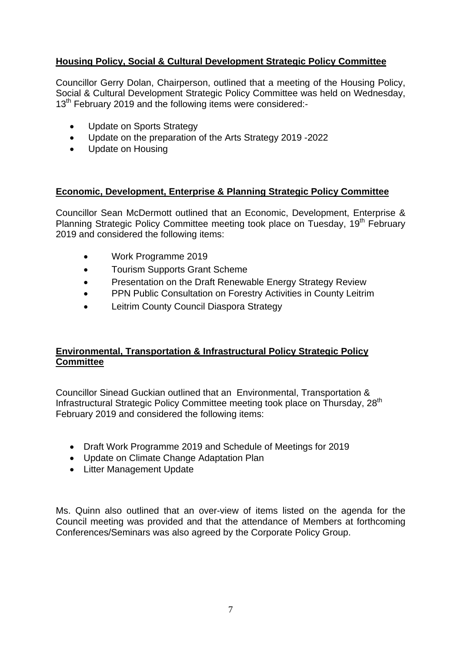# **Housing Policy, Social & Cultural Development Strategic Policy Committee**

Councillor Gerry Dolan, Chairperson, outlined that a meeting of the Housing Policy, Social & Cultural Development Strategic Policy Committee was held on Wednesday, 13<sup>th</sup> February 2019 and the following items were considered:-

- Update on Sports Strategy
- Update on the preparation of the Arts Strategy 2019 -2022
- Update on Housing

# **Economic, Development, Enterprise & Planning Strategic Policy Committee**

Councillor Sean McDermott outlined that an Economic, Development, Enterprise & Planning Strategic Policy Committee meeting took place on Tuesday, 19<sup>th</sup> February 2019 and considered the following items:

- Work Programme 2019
- Tourism Supports Grant Scheme
- Presentation on the Draft Renewable Energy Strategy Review
- PPN Public Consultation on Forestry Activities in County Leitrim
- Leitrim County Council Diaspora Strategy

# **Environmental, Transportation & Infrastructural Policy Strategic Policy Committee**

Councillor Sinead Guckian outlined that an Environmental, Transportation & Infrastructural Strategic Policy Committee meeting took place on Thursday, 28<sup>th</sup> February 2019 and considered the following items:

- Draft Work Programme 2019 and Schedule of Meetings for 2019
- Update on Climate Change Adaptation Plan
- Litter Management Update

Ms. Quinn also outlined that an over-view of items listed on the agenda for the Council meeting was provided and that the attendance of Members at forthcoming Conferences/Seminars was also agreed by the Corporate Policy Group.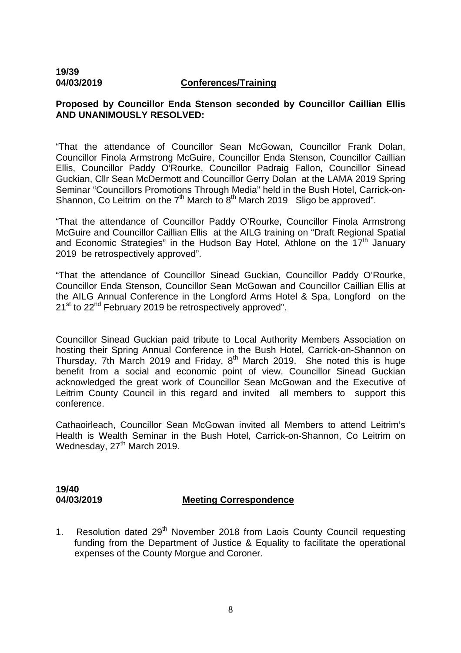# **19/39**

#### **04/03/2019 Conferences/Training**

# **Proposed by Councillor Enda Stenson seconded by Councillor Caillian Ellis AND UNANIMOUSLY RESOLVED:**

"That the attendance of Councillor Sean McGowan, Councillor Frank Dolan, Councillor Finola Armstrong McGuire, Councillor Enda Stenson, Councillor Caillian Ellis, Councillor Paddy O'Rourke, Councillor Padraig Fallon, Councillor Sinead Guckian, Cllr Sean McDermott and Councillor Gerry Dolan at the LAMA 2019 Spring Seminar "Councillors Promotions Through Media" held in the Bush Hotel, Carrick-on-Shannon, Co Leitrim on the  $7<sup>th</sup>$  March to  $8<sup>th</sup>$  March 2019 Sligo be approved".

"That the attendance of Councillor Paddy O'Rourke, Councillor Finola Armstrong McGuire and Councillor Caillian Ellis at the AILG training on "Draft Regional Spatial and Economic Strategies" in the Hudson Bay Hotel. Athlone on the  $17<sup>th</sup>$  January 2019 be retrospectively approved".

"That the attendance of Councillor Sinead Guckian, Councillor Paddy O'Rourke, Councillor Enda Stenson, Councillor Sean McGowan and Councillor Caillian Ellis at the AILG Annual Conference in the Longford Arms Hotel & Spa, Longford on the 21<sup>st</sup> to 22<sup>nd</sup> February 2019 be retrospectively approved".

Councillor Sinead Guckian paid tribute to Local Authority Members Association on hosting their Spring Annual Conference in the Bush Hotel, Carrick-on-Shannon on Thursday, 7th March 2019 and Friday,  $8<sup>th</sup>$  March 2019. She noted this is huge benefit from a social and economic point of view. Councillor Sinead Guckian acknowledged the great work of Councillor Sean McGowan and the Executive of Leitrim County Council in this regard and invited all members to support this conference.

Cathaoirleach, Councillor Sean McGowan invited all Members to attend Leitrim's Health is Wealth Seminar in the Bush Hotel, Carrick-on-Shannon, Co Leitrim on Wednesday, 27<sup>th</sup> March 2019.

# **19/40**

# **04/03/2019 Meeting Correspondence**

1. Resolution dated 29<sup>th</sup> November 2018 from Laois County Council requesting funding from the Department of Justice & Equality to facilitate the operational expenses of the County Morgue and Coroner.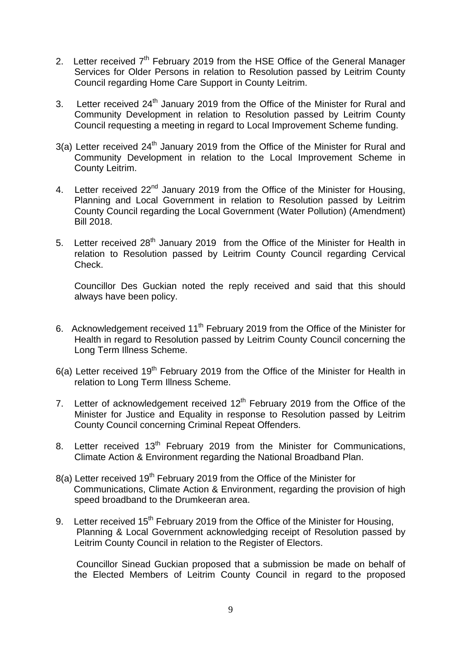- 2. Letter received 7<sup>th</sup> February 2019 from the HSE Office of the General Manager Services for Older Persons in relation to Resolution passed by Leitrim County Council regarding Home Care Support in County Leitrim.
- 3. Letter received  $24<sup>th</sup>$  January 2019 from the Office of the Minister for Rural and Community Development in relation to Resolution passed by Leitrim County Council requesting a meeting in regard to Local Improvement Scheme funding.
- $3(a)$  Letter received 24<sup>th</sup> January 2019 from the Office of the Minister for Rural and Community Development in relation to the Local Improvement Scheme in County Leitrim.
- 4. Letter received 22<sup>nd</sup> January 2019 from the Office of the Minister for Housing, Planning and Local Government in relation to Resolution passed by Leitrim County Council regarding the Local Government (Water Pollution) (Amendment) Bill 2018.
- 5. Letter received 28<sup>th</sup> January 2019 from the Office of the Minister for Health in relation to Resolution passed by Leitrim County Council regarding Cervical Check.

Councillor Des Guckian noted the reply received and said that this should always have been policy.

- 6. Acknowledgement received 11<sup>th</sup> February 2019 from the Office of the Minister for Health in regard to Resolution passed by Leitrim County Council concerning the Long Term Illness Scheme.
- $6(a)$  Letter received 19<sup>th</sup> February 2019 from the Office of the Minister for Health in relation to Long Term Illness Scheme.
- 7. Letter of acknowledgement received  $12<sup>th</sup>$  February 2019 from the Office of the Minister for Justice and Equality in response to Resolution passed by Leitrim County Council concerning Criminal Repeat Offenders.
- 8. Letter received  $13<sup>th</sup>$  February 2019 from the Minister for Communications, Climate Action & Environment regarding the National Broadband Plan.
- 8(a) Letter received 19<sup>th</sup> February 2019 from the Office of the Minister for Communications, Climate Action & Environment, regarding the provision of high speed broadband to the Drumkeeran area.
- 9. Letter received  $15<sup>th</sup>$  February 2019 from the Office of the Minister for Housing, Planning & Local Government acknowledging receipt of Resolution passed by Leitrim County Council in relation to the Register of Electors.

 Councillor Sinead Guckian proposed that a submission be made on behalf of the Elected Members of Leitrim County Council in regard to the proposed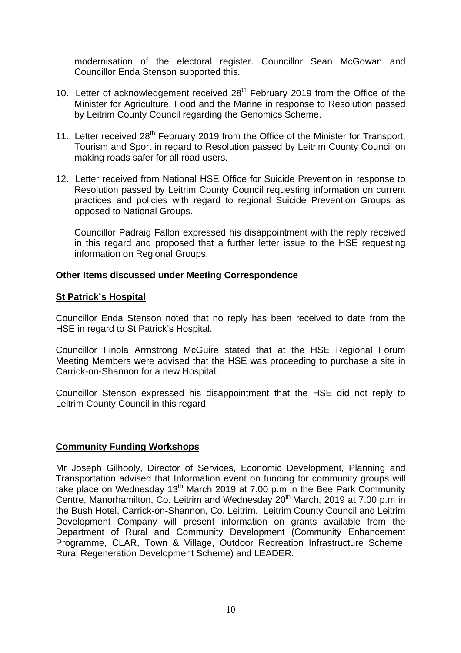modernisation of the electoral register. Councillor Sean McGowan and Councillor Enda Stenson supported this.

- 10. Letter of acknowledgement received  $28<sup>th</sup>$  February 2019 from the Office of the Minister for Agriculture, Food and the Marine in response to Resolution passed by Leitrim County Council regarding the Genomics Scheme.
- 11. Letter received 28<sup>th</sup> February 2019 from the Office of the Minister for Transport, Tourism and Sport in regard to Resolution passed by Leitrim County Council on making roads safer for all road users.
- 12. Letter received from National HSE Office for Suicide Prevention in response to Resolution passed by Leitrim County Council requesting information on current practices and policies with regard to regional Suicide Prevention Groups as opposed to National Groups.

Councillor Padraig Fallon expressed his disappointment with the reply received in this regard and proposed that a further letter issue to the HSE requesting information on Regional Groups.

# **Other Items discussed under Meeting Correspondence**

# **St Patrick's Hospital**

Councillor Enda Stenson noted that no reply has been received to date from the HSE in regard to St Patrick's Hospital.

Councillor Finola Armstrong McGuire stated that at the HSE Regional Forum Meeting Members were advised that the HSE was proceeding to purchase a site in Carrick-on-Shannon for a new Hospital.

Councillor Stenson expressed his disappointment that the HSE did not reply to Leitrim County Council in this regard.

# **Community Funding Workshops**

Mr Joseph Gilhooly, Director of Services, Economic Development, Planning and Transportation advised that Information event on funding for community groups will take place on Wednesday  $13<sup>th</sup>$  March 2019 at 7.00 p.m in the Bee Park Community Centre, Manorhamilton, Co. Leitrim and Wednesday 20<sup>th</sup> March, 2019 at 7.00 p.m in the Bush Hotel, Carrick-on-Shannon, Co. Leitrim. Leitrim County Council and Leitrim Development Company will present information on grants available from the Department of Rural and Community Development (Community Enhancement Programme, CLAR, Town & Village, Outdoor Recreation Infrastructure Scheme, Rural Regeneration Development Scheme) and LEADER.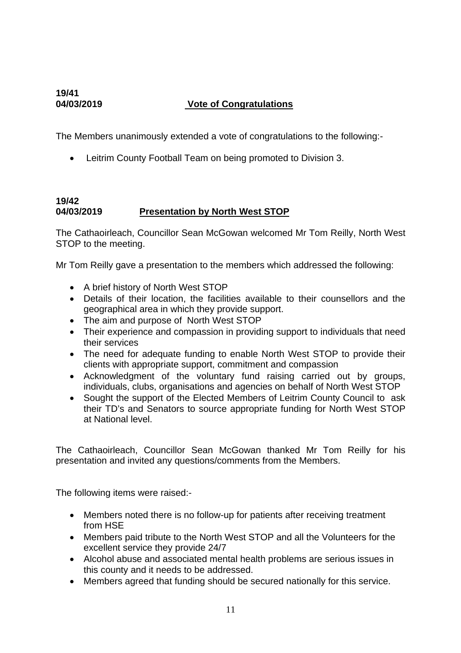# **19/41**

# **04/03/2019 Vote of Congratulations**

The Members unanimously extended a vote of congratulations to the following:-

• Leitrim County Football Team on being promoted to Division 3.

# **19/42 04/03/2019 Presentation by North West STOP**

The Cathaoirleach, Councillor Sean McGowan welcomed Mr Tom Reilly, North West STOP to the meeting.

Mr Tom Reilly gave a presentation to the members which addressed the following:

- A brief history of North West STOP
- Details of their location, the facilities available to their counsellors and the geographical area in which they provide support.
- The aim and purpose of North West STOP
- Their experience and compassion in providing support to individuals that need their services
- The need for adequate funding to enable North West STOP to provide their clients with appropriate support, commitment and compassion
- Acknowledgment of the voluntary fund raising carried out by groups, individuals, clubs, organisations and agencies on behalf of North West STOP
- Sought the support of the Elected Members of Leitrim County Council to ask their TD's and Senators to source appropriate funding for North West STOP at National level.

The Cathaoirleach, Councillor Sean McGowan thanked Mr Tom Reilly for his presentation and invited any questions/comments from the Members.

The following items were raised:-

- Members noted there is no follow-up for patients after receiving treatment from HSE
- Members paid tribute to the North West STOP and all the Volunteers for the excellent service they provide 24/7
- Alcohol abuse and associated mental health problems are serious issues in this county and it needs to be addressed.
- Members agreed that funding should be secured nationally for this service.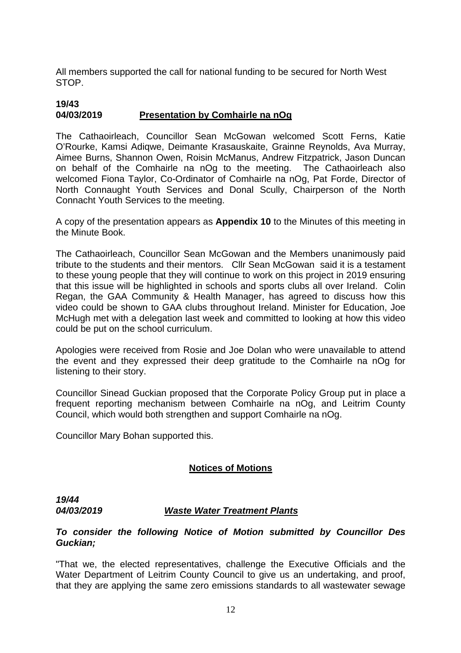All members supported the call for national funding to be secured for North West STOP.

### **19/43 04/03/2019 Presentation by Comhairle na nOg**

The Cathaoirleach, Councillor Sean McGowan welcomed Scott Ferns, Katie O'Rourke, Kamsi Adiqwe, Deimante Krasauskaite, Grainne Reynolds, Ava Murray, Aimee Burns, Shannon Owen, Roisin McManus, Andrew Fitzpatrick, Jason Duncan on behalf of the Comhairle na nOg to the meeting. The Cathaoirleach also welcomed Fiona Taylor, Co-Ordinator of Comhairle na nOg, Pat Forde, Director of North Connaught Youth Services and Donal Scully, Chairperson of the North Connacht Youth Services to the meeting.

A copy of the presentation appears as **Appendix 10** to the Minutes of this meeting in the Minute Book.

The Cathaoirleach, Councillor Sean McGowan and the Members unanimously paid tribute to the students and their mentors. Cllr Sean McGowan said it is a testament to these young people that they will continue to work on this project in 2019 ensuring that this issue will be highlighted in schools and sports clubs all over Ireland. Colin Regan, the GAA Community & Health Manager, has agreed to discuss how this video could be shown to GAA clubs throughout Ireland. Minister for Education, Joe McHugh met with a delegation last week and committed to looking at how this video could be put on the school curriculum.

Apologies were received from Rosie and Joe Dolan who were unavailable to attend the event and they expressed their deep gratitude to the Comhairle na nOg for listening to their story.

Councillor Sinead Guckian proposed that the Corporate Policy Group put in place a frequent reporting mechanism between Comhairle na nOg, and Leitrim County Council, which would both strengthen and support Comhairle na nOg.

Councillor Mary Bohan supported this.

# **Notices of Motions**

*19/44* 

# *04/03/2019 Waste Water Treatment Plants*

# *To consider the following Notice of Motion submitted by Councillor Des Guckian;*

"That we, the elected representatives, challenge the Executive Officials and the Water Department of Leitrim County Council to give us an undertaking, and proof, that they are applying the same zero emissions standards to all wastewater sewage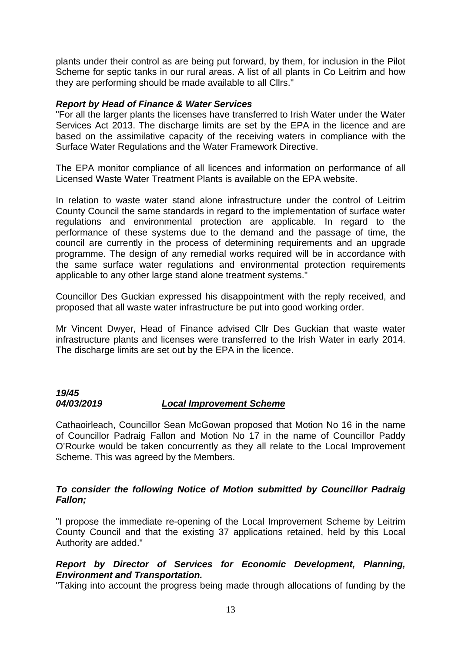plants under their control as are being put forward, by them, for inclusion in the Pilot Scheme for septic tanks in our rural areas. A list of all plants in Co Leitrim and how they are performing should be made available to all Cllrs."

# *Report by Head of Finance & Water Services*

"For all the larger plants the licenses have transferred to Irish Water under the Water Services Act 2013. The discharge limits are set by the EPA in the licence and are based on the assimilative capacity of the receiving waters in compliance with the Surface Water Regulations and the Water Framework Directive.

The EPA monitor compliance of all licences and information on performance of all Licensed Waste Water Treatment Plants is available on the EPA website.

In relation to waste water stand alone infrastructure under the control of Leitrim County Council the same standards in regard to the implementation of surface water regulations and environmental protection are applicable. In regard to the performance of these systems due to the demand and the passage of time, the council are currently in the process of determining requirements and an upgrade programme. The design of any remedial works required will be in accordance with the same surface water regulations and environmental protection requirements applicable to any other large stand alone treatment systems."

Councillor Des Guckian expressed his disappointment with the reply received, and proposed that all waste water infrastructure be put into good working order.

Mr Vincent Dwyer, Head of Finance advised Cllr Des Guckian that waste water infrastructure plants and licenses were transferred to the Irish Water in early 2014. The discharge limits are set out by the EPA in the licence.

# *19/45 04/03/2019 Local Improvement Scheme*

Cathaoirleach, Councillor Sean McGowan proposed that Motion No 16 in the name of Councillor Padraig Fallon and Motion No 17 in the name of Councillor Paddy O'Rourke would be taken concurrently as they all relate to the Local Improvement Scheme. This was agreed by the Members.

## *To consider the following Notice of Motion submitted by Councillor Padraig Fallon;*

"I propose the immediate re-opening of the Local Improvement Scheme by Leitrim County Council and that the existing 37 applications retained, held by this Local Authority are added."

# *Report by Director of Services for Economic Development, Planning, Environment and Transportation.*

"Taking into account the progress being made through allocations of funding by the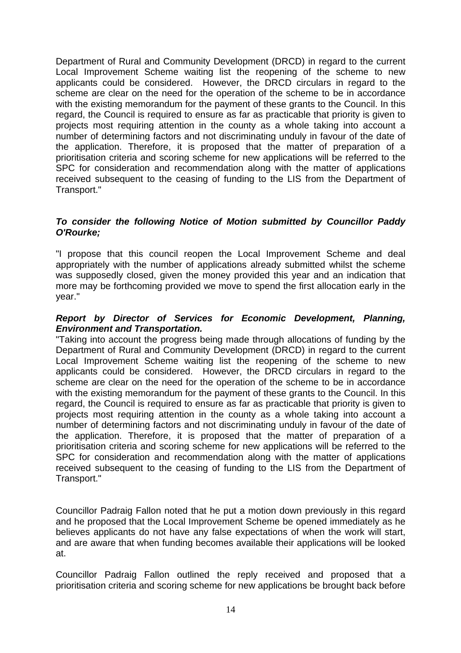Department of Rural and Community Development (DRCD) in regard to the current Local Improvement Scheme waiting list the reopening of the scheme to new applicants could be considered. However, the DRCD circulars in regard to the scheme are clear on the need for the operation of the scheme to be in accordance with the existing memorandum for the payment of these grants to the Council. In this regard, the Council is required to ensure as far as practicable that priority is given to projects most requiring attention in the county as a whole taking into account a number of determining factors and not discriminating unduly in favour of the date of the application. Therefore, it is proposed that the matter of preparation of a prioritisation criteria and scoring scheme for new applications will be referred to the SPC for consideration and recommendation along with the matter of applications received subsequent to the ceasing of funding to the LIS from the Department of Transport."

# *To consider the following Notice of Motion submitted by Councillor Paddy O'Rourke;*

"I propose that this council reopen the Local Improvement Scheme and deal appropriately with the number of applications already submitted whilst the scheme was supposedly closed, given the money provided this year and an indication that more may be forthcoming provided we move to spend the first allocation early in the year."

# *Report by Director of Services for Economic Development, Planning, Environment and Transportation.*

"Taking into account the progress being made through allocations of funding by the Department of Rural and Community Development (DRCD) in regard to the current Local Improvement Scheme waiting list the reopening of the scheme to new applicants could be considered. However, the DRCD circulars in regard to the scheme are clear on the need for the operation of the scheme to be in accordance with the existing memorandum for the payment of these grants to the Council. In this regard, the Council is required to ensure as far as practicable that priority is given to projects most requiring attention in the county as a whole taking into account a number of determining factors and not discriminating unduly in favour of the date of the application. Therefore, it is proposed that the matter of preparation of a prioritisation criteria and scoring scheme for new applications will be referred to the SPC for consideration and recommendation along with the matter of applications received subsequent to the ceasing of funding to the LIS from the Department of Transport."

Councillor Padraig Fallon noted that he put a motion down previously in this regard and he proposed that the Local Improvement Scheme be opened immediately as he believes applicants do not have any false expectations of when the work will start, and are aware that when funding becomes available their applications will be looked at.

Councillor Padraig Fallon outlined the reply received and proposed that a prioritisation criteria and scoring scheme for new applications be brought back before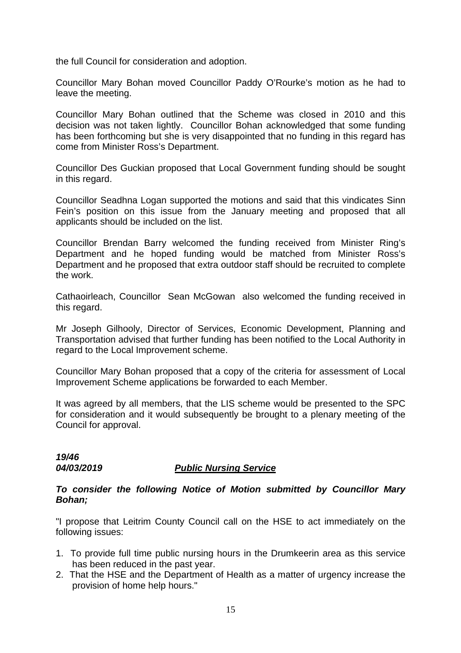the full Council for consideration and adoption.

Councillor Mary Bohan moved Councillor Paddy O'Rourke's motion as he had to leave the meeting.

Councillor Mary Bohan outlined that the Scheme was closed in 2010 and this decision was not taken lightly. Councillor Bohan acknowledged that some funding has been forthcoming but she is very disappointed that no funding in this regard has come from Minister Ross's Department.

Councillor Des Guckian proposed that Local Government funding should be sought in this regard.

Councillor Seadhna Logan supported the motions and said that this vindicates Sinn Fein's position on this issue from the January meeting and proposed that all applicants should be included on the list.

Councillor Brendan Barry welcomed the funding received from Minister Ring's Department and he hoped funding would be matched from Minister Ross's Department and he proposed that extra outdoor staff should be recruited to complete the work.

Cathaoirleach, Councillor Sean McGowan also welcomed the funding received in this regard.

Mr Joseph Gilhooly, Director of Services, Economic Development, Planning and Transportation advised that further funding has been notified to the Local Authority in regard to the Local Improvement scheme.

Councillor Mary Bohan proposed that a copy of the criteria for assessment of Local Improvement Scheme applications be forwarded to each Member.

It was agreed by all members, that the LIS scheme would be presented to the SPC for consideration and it would subsequently be brought to a plenary meeting of the Council for approval.

*19/46* 

# *04/03/2019 Public Nursing Service*

# *To consider the following Notice of Motion submitted by Councillor Mary Bohan;*

"I propose that Leitrim County Council call on the HSE to act immediately on the following issues:

- 1. To provide full time public nursing hours in the Drumkeerin area as this service has been reduced in the past year.
- 2. That the HSE and the Department of Health as a matter of urgency increase the provision of home help hours."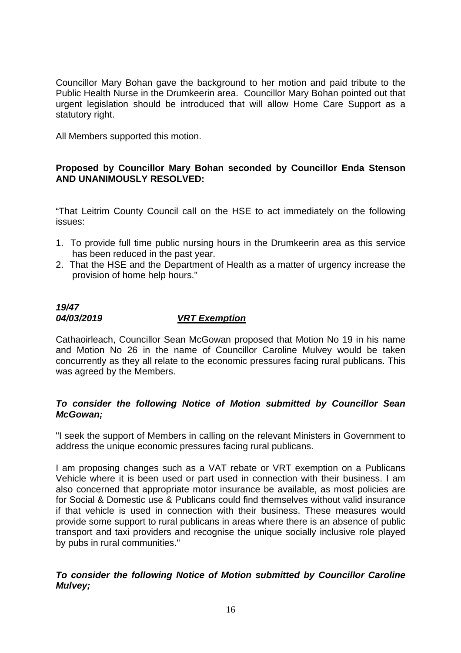Councillor Mary Bohan gave the background to her motion and paid tribute to the Public Health Nurse in the Drumkeerin area. Councillor Mary Bohan pointed out that urgent legislation should be introduced that will allow Home Care Support as a statutory right.

All Members supported this motion.

# **Proposed by Councillor Mary Bohan seconded by Councillor Enda Stenson AND UNANIMOUSLY RESOLVED:**

"That Leitrim County Council call on the HSE to act immediately on the following issues:

- 1. To provide full time public nursing hours in the Drumkeerin area as this service has been reduced in the past year.
- 2. That the HSE and the Department of Health as a matter of urgency increase the provision of home help hours."

# *19/47 04/03/2019 VRT Exemption*

Cathaoirleach, Councillor Sean McGowan proposed that Motion No 19 in his name and Motion No 26 in the name of Councillor Caroline Mulvey would be taken concurrently as they all relate to the economic pressures facing rural publicans. This was agreed by the Members.

# *To consider the following Notice of Motion submitted by Councillor Sean McGowan;*

"I seek the support of Members in calling on the relevant Ministers in Government to address the unique economic pressures facing rural publicans.

I am proposing changes such as a VAT rebate or VRT exemption on a Publicans Vehicle where it is been used or part used in connection with their business. I am also concerned that appropriate motor insurance be available, as most policies are for Social & Domestic use & Publicans could find themselves without valid insurance if that vehicle is used in connection with their business. These measures would provide some support to rural publicans in areas where there is an absence of public transport and taxi providers and recognise the unique socially inclusive role played by pubs in rural communities."

# *To consider the following Notice of Motion submitted by Councillor Caroline Mulvey;*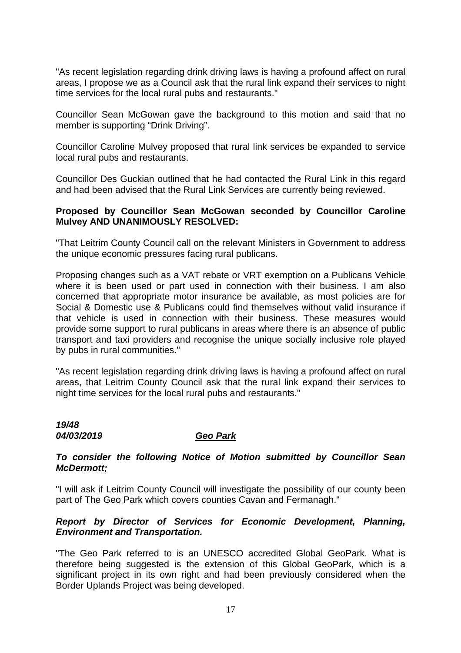"As recent legislation regarding drink driving laws is having a profound affect on rural areas, I propose we as a Council ask that the rural link expand their services to night time services for the local rural pubs and restaurants."

Councillor Sean McGowan gave the background to this motion and said that no member is supporting "Drink Driving".

Councillor Caroline Mulvey proposed that rural link services be expanded to service local rural pubs and restaurants.

Councillor Des Guckian outlined that he had contacted the Rural Link in this regard and had been advised that the Rural Link Services are currently being reviewed.

# **Proposed by Councillor Sean McGowan seconded by Councillor Caroline Mulvey AND UNANIMOUSLY RESOLVED:**

"That Leitrim County Council call on the relevant Ministers in Government to address the unique economic pressures facing rural publicans.

Proposing changes such as a VAT rebate or VRT exemption on a Publicans Vehicle where it is been used or part used in connection with their business. I am also concerned that appropriate motor insurance be available, as most policies are for Social & Domestic use & Publicans could find themselves without valid insurance if that vehicle is used in connection with their business. These measures would provide some support to rural publicans in areas where there is an absence of public transport and taxi providers and recognise the unique socially inclusive role played by pubs in rural communities."

"As recent legislation regarding drink driving laws is having a profound affect on rural areas, that Leitrim County Council ask that the rural link expand their services to night time services for the local rural pubs and restaurants."

### *19/48 04/03/2019 Geo Park*

# *To consider the following Notice of Motion submitted by Councillor Sean McDermott;*

"I will ask if Leitrim County Council will investigate the possibility of our county been part of The Geo Park which covers counties Cavan and Fermanagh."

# *Report by Director of Services for Economic Development, Planning, Environment and Transportation.*

"The Geo Park referred to is an UNESCO accredited Global GeoPark. What is therefore being suggested is the extension of this Global GeoPark, which is a significant project in its own right and had been previously considered when the Border Uplands Project was being developed.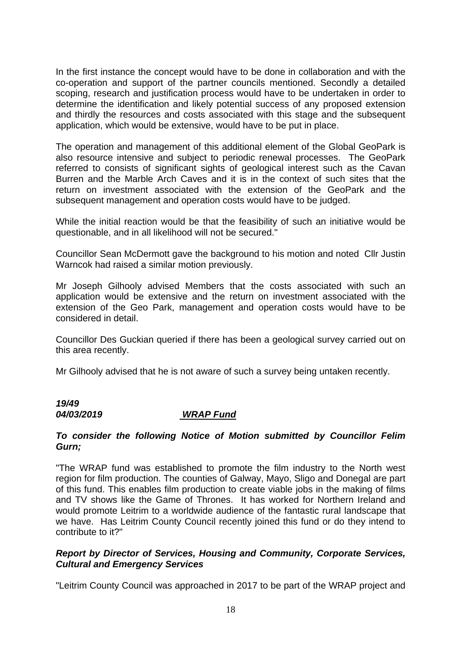In the first instance the concept would have to be done in collaboration and with the co-operation and support of the partner councils mentioned. Secondly a detailed scoping, research and justification process would have to be undertaken in order to determine the identification and likely potential success of any proposed extension and thirdly the resources and costs associated with this stage and the subsequent application, which would be extensive, would have to be put in place.

The operation and management of this additional element of the Global GeoPark is also resource intensive and subject to periodic renewal processes. The GeoPark referred to consists of significant sights of geological interest such as the Cavan Burren and the Marble Arch Caves and it is in the context of such sites that the return on investment associated with the extension of the GeoPark and the subsequent management and operation costs would have to be judged.

While the initial reaction would be that the feasibility of such an initiative would be questionable, and in all likelihood will not be secured."

Councillor Sean McDermott gave the background to his motion and noted Cllr Justin Warncok had raised a similar motion previously.

Mr Joseph Gilhooly advised Members that the costs associated with such an application would be extensive and the return on investment associated with the extension of the Geo Park, management and operation costs would have to be considered in detail.

Councillor Des Guckian queried if there has been a geological survey carried out on this area recently.

Mr Gilhooly advised that he is not aware of such a survey being untaken recently.

# *19/49*

# *04/03/2019 WRAP Fund*

# *To consider the following Notice of Motion submitted by Councillor Felim Gurn;*

"The WRAP fund was established to promote the film industry to the North west region for film production. The counties of Galway, Mayo, Sligo and Donegal are part of this fund. This enables film production to create viable jobs in the making of films and TV shows like the Game of Thrones. It has worked for Northern Ireland and would promote Leitrim to a worldwide audience of the fantastic rural landscape that we have. Has Leitrim County Council recently joined this fund or do they intend to contribute to it?"

# *Report by Director of Services, Housing and Community, Corporate Services, Cultural and Emergency Services*

"Leitrim County Council was approached in 2017 to be part of the WRAP project and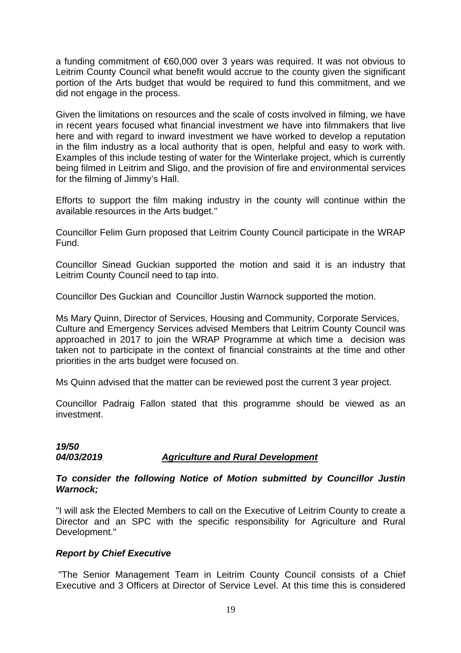a funding commitment of €60,000 over 3 years was required. It was not obvious to Leitrim County Council what benefit would accrue to the county given the significant portion of the Arts budget that would be required to fund this commitment, and we did not engage in the process.

Given the limitations on resources and the scale of costs involved in filming, we have in recent years focused what financial investment we have into filmmakers that live here and with regard to inward investment we have worked to develop a reputation in the film industry as a local authority that is open, helpful and easy to work with. Examples of this include testing of water for the Winterlake project, which is currently being filmed in Leitrim and Sligo, and the provision of fire and environmental services for the filming of Jimmy's Hall.

Efforts to support the film making industry in the county will continue within the available resources in the Arts budget."

Councillor Felim Gurn proposed that Leitrim County Council participate in the WRAP Fund.

Councillor Sinead Guckian supported the motion and said it is an industry that Leitrim County Council need to tap into.

Councillor Des Guckian and Councillor Justin Warnock supported the motion.

Ms Mary Quinn, Director of Services, Housing and Community, Corporate Services, Culture and Emergency Services advised Members that Leitrim County Council was approached in 2017 to join the WRAP Programme at which time a decision was taken not to participate in the context of financial constraints at the time and other priorities in the arts budget were focused on.

Ms Quinn advised that the matter can be reviewed post the current 3 year project.

Councillor Padraig Fallon stated that this programme should be viewed as an investment.

# *19/50 04/03/2019 Agriculture and Rural Development*

## *To consider the following Notice of Motion submitted by Councillor Justin Warnock;*

"I will ask the Elected Members to call on the Executive of Leitrim County to create a Director and an SPC with the specific responsibility for Agriculture and Rural Development."

# *Report by Chief Executive*

"The Senior Management Team in Leitrim County Council consists of a Chief Executive and 3 Officers at Director of Service Level. At this time this is considered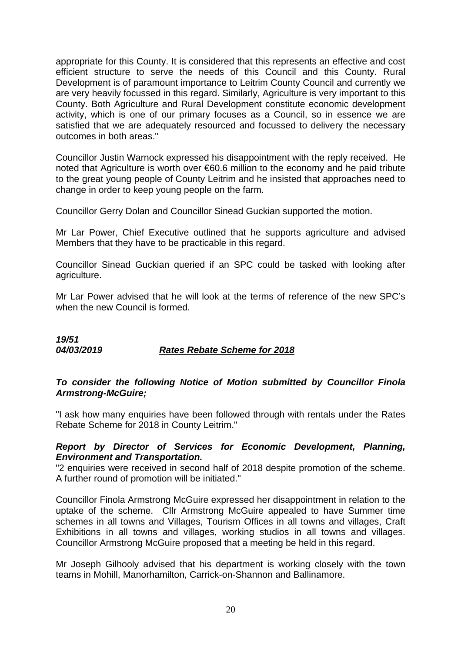appropriate for this County. It is considered that this represents an effective and cost efficient structure to serve the needs of this Council and this County. Rural Development is of paramount importance to Leitrim County Council and currently we are very heavily focussed in this regard. Similarly, Agriculture is very important to this County. Both Agriculture and Rural Development constitute economic development activity, which is one of our primary focuses as a Council, so in essence we are satisfied that we are adequately resourced and focussed to delivery the necessary outcomes in both areas."

Councillor Justin Warnock expressed his disappointment with the reply received. He noted that Agriculture is worth over €60.6 million to the economy and he paid tribute to the great young people of County Leitrim and he insisted that approaches need to change in order to keep young people on the farm.

Councillor Gerry Dolan and Councillor Sinead Guckian supported the motion.

Mr Lar Power, Chief Executive outlined that he supports agriculture and advised Members that they have to be practicable in this regard.

Councillor Sinead Guckian queried if an SPC could be tasked with looking after agriculture.

Mr Lar Power advised that he will look at the terms of reference of the new SPC's when the new Council is formed.

*19/51 04/03/2019 Rates Rebate Scheme for 2018*

# *To consider the following Notice of Motion submitted by Councillor Finola Armstrong-McGuire;*

"I ask how many enquiries have been followed through with rentals under the Rates Rebate Scheme for 2018 in County Leitrim."

# *Report by Director of Services for Economic Development, Planning, Environment and Transportation.*

"2 enquiries were received in second half of 2018 despite promotion of the scheme. A further round of promotion will be initiated."

Councillor Finola Armstrong McGuire expressed her disappointment in relation to the uptake of the scheme. Cllr Armstrong McGuire appealed to have Summer time schemes in all towns and Villages, Tourism Offices in all towns and villages, Craft Exhibitions in all towns and villages, working studios in all towns and villages. Councillor Armstrong McGuire proposed that a meeting be held in this regard.

Mr Joseph Gilhooly advised that his department is working closely with the town teams in Mohill, Manorhamilton, Carrick-on-Shannon and Ballinamore.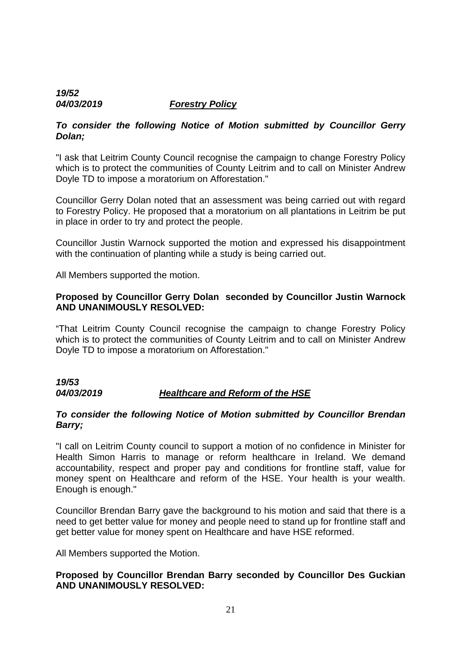# *19/52 04/03/2019 Forestry Policy*

# *To consider the following Notice of Motion submitted by Councillor Gerry Dolan;*

"I ask that Leitrim County Council recognise the campaign to change Forestry Policy which is to protect the communities of County Leitrim and to call on Minister Andrew Doyle TD to impose a moratorium on Afforestation."

Councillor Gerry Dolan noted that an assessment was being carried out with regard to Forestry Policy. He proposed that a moratorium on all plantations in Leitrim be put in place in order to try and protect the people.

Councillor Justin Warnock supported the motion and expressed his disappointment with the continuation of planting while a study is being carried out.

All Members supported the motion.

# **Proposed by Councillor Gerry Dolan seconded by Councillor Justin Warnock AND UNANIMOUSLY RESOLVED:**

"That Leitrim County Council recognise the campaign to change Forestry Policy which is to protect the communities of County Leitrim and to call on Minister Andrew Doyle TD to impose a moratorium on Afforestation."

# *19/53 04/03/2019 Healthcare and Reform of the HSE*

# *To consider the following Notice of Motion submitted by Councillor Brendan Barry;*

"I call on Leitrim County council to support a motion of no confidence in Minister for Health Simon Harris to manage or reform healthcare in Ireland. We demand accountability, respect and proper pay and conditions for frontline staff, value for money spent on Healthcare and reform of the HSE. Your health is your wealth. Enough is enough."

Councillor Brendan Barry gave the background to his motion and said that there is a need to get better value for money and people need to stand up for frontline staff and get better value for money spent on Healthcare and have HSE reformed.

All Members supported the Motion.

# **Proposed by Councillor Brendan Barry seconded by Councillor Des Guckian AND UNANIMOUSLY RESOLVED:**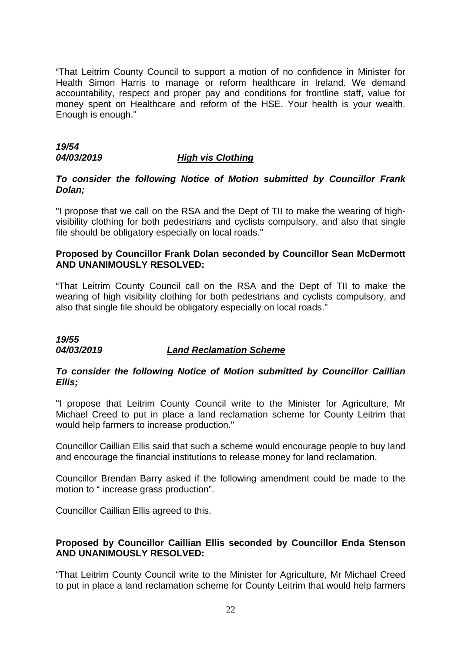"That Leitrim County Council to support a motion of no confidence in Minister for Health Simon Harris to manage or reform healthcare in Ireland. We demand accountability, respect and proper pay and conditions for frontline staff, value for money spent on Healthcare and reform of the HSE. Your health is your wealth. Enough is enough."

# *19/54*

## *04/03/2019 High vis Clothing*

# *To consider the following Notice of Motion submitted by Councillor Frank Dolan;*

"I propose that we call on the RSA and the Dept of TII to make the wearing of highvisibility clothing for both pedestrians and cyclists compulsory, and also that single file should be obligatory especially on local roads."

# **Proposed by Councillor Frank Dolan seconded by Councillor Sean McDermott AND UNANIMOUSLY RESOLVED:**

"That Leitrim County Council call on the RSA and the Dept of TII to make the wearing of high visibility clothing for both pedestrians and cyclists compulsory, and also that single file should be obligatory especially on local roads."

# *19/55 04/03/2019 Land Reclamation Scheme*

# *To consider the following Notice of Motion submitted by Councillor Caillian Ellis;*

"I propose that Leitrim County Council write to the Minister for Agriculture, Mr Michael Creed to put in place a land reclamation scheme for County Leitrim that would help farmers to increase production."

Councillor Caillian Ellis said that such a scheme would encourage people to buy land and encourage the financial institutions to release money for land reclamation.

Councillor Brendan Barry asked if the following amendment could be made to the motion to " increase grass production".

Councillor Caillian Ellis agreed to this.

# **Proposed by Councillor Caillian Ellis seconded by Councillor Enda Stenson AND UNANIMOUSLY RESOLVED:**

"That Leitrim County Council write to the Minister for Agriculture, Mr Michael Creed to put in place a land reclamation scheme for County Leitrim that would help farmers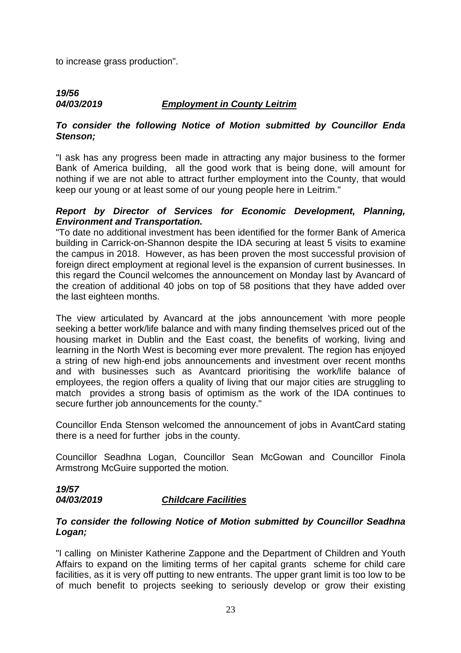to increase grass production".

# *19/56 04/03/2019 Employment in County Leitrim*

# *To consider the following Notice of Motion submitted by Councillor Enda Stenson;*

"I ask has any progress been made in attracting any major business to the former Bank of America building, all the good work that is being done, will amount for nothing if we are not able to attract further employment into the County, that would keep our young or at least some of our young people here in Leitrim."

# *Report by Director of Services for Economic Development, Planning, Environment and Transportation.*

"To date no additional investment has been identified for the former Bank of America building in Carrick-on-Shannon despite the IDA securing at least 5 visits to examine the campus in 2018. However, as has been proven the most successful provision of foreign direct employment at regional level is the expansion of current businesses. In this regard the Council welcomes the announcement on Monday last by Avancard of the creation of additional 40 jobs on top of 58 positions that they have added over the last eighteen months.

The view articulated by Avancard at the jobs announcement 'with more people seeking a better work/life balance and with many finding themselves priced out of the housing market in Dublin and the East coast, the benefits of working, living and learning in the North West is becoming ever more prevalent. The region has enjoyed a string of new high-end jobs announcements and investment over recent months and with businesses such as Avantcard prioritising the work/life balance of employees, the region offers a quality of living that our major cities are struggling to match provides a strong basis of optimism as the work of the IDA continues to secure further job announcements for the county."

Councillor Enda Stenson welcomed the announcement of jobs in AvantCard stating there is a need for further jobs in the county.

Councillor Seadhna Logan, Councillor Sean McGowan and Councillor Finola Armstrong McGuire supported the motion.

# *19/57 04/03/2019 Childcare Facilities*

# *To consider the following Notice of Motion submitted by Councillor Seadhna Logan;*

"I calling on Minister Katherine Zappone and the Department of Children and Youth Affairs to expand on the limiting terms of her capital grants scheme for child care facilities, as it is very off putting to new entrants. The upper grant limit is too low to be of much benefit to projects seeking to seriously develop or grow their existing